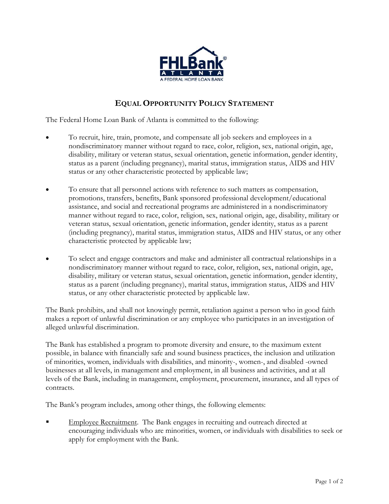

## **EQUAL OPPORTUNITY POLICY STATEMENT**

The Federal Home Loan Bank of Atlanta is committed to the following:

- To recruit, hire, train, promote, and compensate all job seekers and employees in a nondiscriminatory manner without regard to race, color, religion, sex, national origin, age, disability, military or veteran status, sexual orientation, genetic information, gender identity, status as a parent (including pregnancy), marital status, immigration status, AIDS and HIV status or any other characteristic protected by applicable law;
- To ensure that all personnel actions with reference to such matters as compensation, promotions, transfers, benefits, Bank sponsored professional development/educational assistance, and social and recreational programs are administered in a nondiscriminatory manner without regard to race, color, religion, sex, national origin, age, disability, military or veteran status, sexual orientation, genetic information, gender identity, status as a parent (including pregnancy), marital status, immigration status, AIDS and HIV status, or any other characteristic protected by applicable law;
- To select and engage contractors and make and administer all contractual relationships in a nondiscriminatory manner without regard to race, color, religion, sex, national origin, age, disability, military or veteran status, sexual orientation, genetic information, gender identity, status as a parent (including pregnancy), marital status, immigration status, AIDS and HIV status, or any other characteristic protected by applicable law.

The Bank prohibits, and shall not knowingly permit, retaliation against a person who in good faith makes a report of unlawful discrimination or any employee who participates in an investigation of alleged unlawful discrimination.

The Bank has established a program to promote diversity and ensure, to the maximum extent possible, in balance with financially safe and sound business practices, the inclusion and utilization of minorities, women, individuals with disabilities, and minority-, women-, and disabled -owned businesses at all levels, in management and employment, in all business and activities, and at all levels of the Bank, including in management, employment, procurement, insurance, and all types of contracts.

The Bank's program includes, among other things, the following elements:

 Employee Recruitment. The Bank engages in recruiting and outreach directed at encouraging individuals who are minorities, women, or individuals with disabilities to seek or apply for employment with the Bank.